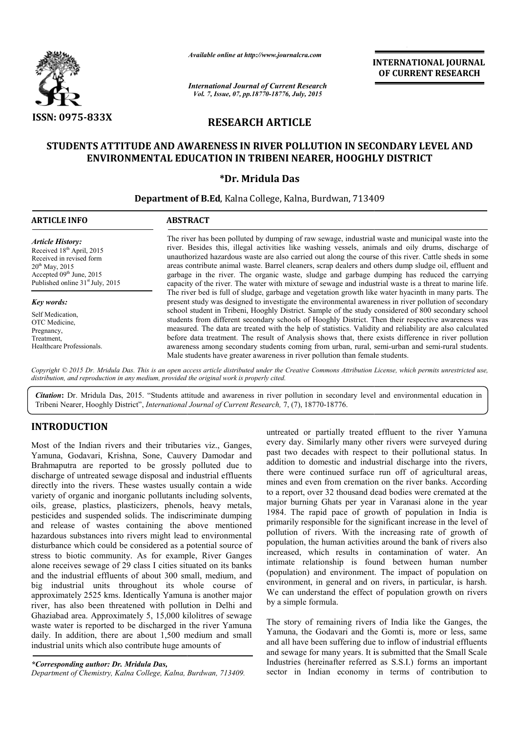

*Available online at http://www.journalcra.com*

*International Journal of Current Research Vol. 7, Issue, 07, pp.18770-18776, July, 2015*

INTERNATIONAL INTERNATIONAL JOURNAL OF CURRENT RESEARCH

# RESEARCH ARTICLE

# STUDENTS ATTITUDE AND AWARENESS IN RIVER POLLUTION IN SECONDARY LEVEL AND STUDENTS ATTITUDE ENVIRONMENTAL EDUCATION IN TRIBENI NEARER, HOOGHLY DISTRICT

# \*Dr. Mridula Das

Department of B.Ed , Kalna College, Kalna, Burdwan, 713409 7134091

## ARTICLE INFO ABSTRACT

*Article History:* Received 18<sup>th</sup> April, 2015 Received in revised form  $20^{th}$  May, 2015 Accepted 09th June, 2015 Published online 31<sup>st</sup> July, 2015

## *Key words:*

Self Medication, OTC Medicine, Pregnancy, Treatment, Healthcare Professionals.

The river has been polluted by dumping of raw sewage, industrial waste and municipal waste into the river. Besides this, illegal activities like washing vessels, animals and oily drums, discharge of unauthorized hazardous waste are also carried out along the course of this river. Cattle sheds in some areas contribute animal waste. Barrel cleaners, scrap dealers and others dump sludge garbage in the river. The organic waste, sludge and garbage dumping has reduced the carrying capacity of the river. The water with mixture of sewage and industrial waste is a threat to marine life. capacity of the river. The water with mixture of sewage and industrial waste is a threat to marine life.<br>The river bed is full of sludge, garbage and vegetation growth like water hyacinth in many parts. The present study was designed to investigate the environmental awareness in river pollution of secondary present study was designed to investigate the environmental awareness in river pollution of secondary<br>school student in Tribeni, Hooghly District. Sample of the study considered of 800 secondary school students from different secondary schools of Hooghly District. Then their respective awareness was measured. The data are treated with the help of statistics. Validity and reliability are also calculated before data treatment. The result of Analysis shows that, there exists difference in river pollution awareness among secondary students coming from urban, rural, semi-urban and semi-rural students. Male students have greater awareness in river pollution than female students. reas contribute animal waste. Barrel cleaners, scrap dealers and others dump sludge oil, effluent and arbage in the river. The organic waste, sludge and garbage dumping has reduced the carrying apacity of the river. The wa river. Besides this, illegal activities like washing vessels, animals and oily drums, discharge of unauthorized hazardous waste are also carried out along the course of this river. Cattle sheds in some areas contribute ani secondary schools of Hooghly District. Then their respective awareness was treated with the help of statistics. Validity and reliability are also calculated The result of Analysis shows that, there exists difference in riv

Copyright © 2015 Dr. Mridula Das. This is an open access article distributed under the Creative Commons Attribution License, which permits unrestricted use, *distribution, and reproduction in any medium, provided the original work is properly cited.*

Citation: Dr. Mridula Das, 2015. "Students attitude and awareness in river pollution in secondary level and environmental education in Tribeni Nearer, Hooghly District", *International Journal of Current Research,* 7, (7), 18770-18776.

# INTRODUCTION

Most of the Indian rivers and their tributaries viz., Ganges, Yamuna, Godavari, Krishna, Sone, Cauvery Damodar and Brahmaputra are reported to be grossly polluted due to discharge of untreated sewage disposal and industrial effluents directly into the rivers. These wastes usually contain a wide variety of organic and inorganic pollutants including solvents, oils, grease, plastics, plasticizers, phenols, heavy metals, pesticides and suspended solids. The indiscriminate dumping and release of wastes containing the above mentioned hazardous substances into rivers might lead to environmental disturbance which could be considered as a potential source of stress to biotic community. As for example, River Ganges alone receives sewage of 29 class I cities situated on its banks and the industrial effluents of about 300 small, medium, and big industrial units throughout its whole course of approximately 2525 kms. Identically Yamuna is another major river, has also been threatened with pollution in Delhi and Ghaziabad area. Approximately 5, 15,000 kilolitres of sewage waste water is reported to be discharged in the river Yamuna daily. In addition, there are about 1,500 medium and small industrial units which also contribute huge amounts of harge of untreated sewage disposal and industrial<br>ctly into the rivers. These wastes usually contai<br>ety of organic and inorganic pollutants including<br>grease, plastics, plasticizers, phenols, heavy<br>icides and suspended soli

untreated or partially treated effluent to the river Yamuna every day. Similarly many other rivers were surveyed during past two decades with respect to their pollutional status. In addition to domestic and industrial discharge into the rivers, there were continued surface run off of agricultural areas, mines and even from cremation on the river banks. According to a report, over 32 thousand dead bodies were cremated at the major burning Ghats per year in Varanasi alone in the year 1984. The rapid pace of growth of population in India is primarily responsible for the significant increase in the level of pollution of rivers. With the increasing rate of growth of population, the human activities around the bank of rivers also increased, which results in contamination of water. An pollution of rivers. With the increasing rate of growth of population, the human activities around the bank of rivers also increased, which results in contamination of water. An intimate relationship is found between human (population) and environment. The impact of population on environment, in general and on rivers, in particular, is harsh. We can understand the effect of population growth on rivers by a simple formula. Internally treated effluent to the river Yamuna Similarly many other rivers were surveyed during ecades with respect to their pollutional status. In domestic and industrial discharge into the rivers, continued surface run **INTERNATIONAL JOURNAL Treat Research**<br>
THECLE<br> **PICILIPTION IN SECONDARY LEVEL AND**<br> **THECLE**<br> **PICILIPTION IN SECONDARY LEVEL AND**<br> **DIS**<br> **DIS**<br> **DIS**<br> **EXERCE:**<br> **PICILIPTION IN SECONDARY LEVEL AND**<br> **DIS**<br> **DIS**<br> **DI** 

The story of remaining rivers of India like the Ganges, the Yamuna, the Godavari and the Gomti is, more or less, same and all have been suffering due to inflow of industrial effluents and sewage for many years. It is submitted that the Small Scale Industries (hereinafter referred as S.S.I.) forms an important sector in Indian economy in terms of contribution to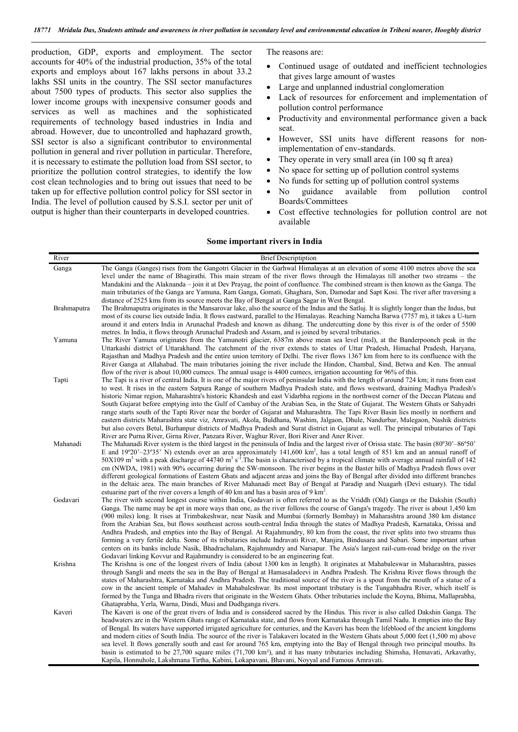production, GDP, exports and employment. The sector accounts for 40% of the industrial production, 35% of the total exports and employs about 167 lakhs persons in about 33.2 lakhs SSI units in the country. The SSI sector manufactures about 7500 types of products. This sector also supplies the lower income groups with inexpensive consumer goods and services as well as machines and the sophisticated requirements of technology based industries in India and abroad. However, due to uncontrolled and haphazard growth, SSI sector is also a significant contributor to environmental pollution in general and river pollution in particular. Therefore, it is necessary to estimate the pollution load from SSI sector, to prioritize the pollution control strategies, to identify the low cost clean technologies and to bring out issues that need to be taken up for effective pollution control policy for SSI sector in India. The level of pollution caused by S.S.I. sector per unit of output is higher than their counterparts in developed countries.

The reasons are:

- Continued usage of outdated and inefficient technologies that gives large amount of wastes
- Large and unplanned industrial conglomeration
- Lack of resources for enforcement and implementation of pollution control performance
- Productivity and environmental performance given a back seat.
- However, SSI units have different reasons for nonimplementation of env-standards.
- They operate in very small area (in 100 sq ft area)
- No space for setting up of pollution control systems
- No funds for setting up of pollution control systems
- No guidance available from pollution control Boards/Committees
- Cost effective technologies for pollution control are not available

## Some important rivers in India

| River       | <b>Brief Descriptiption</b>                                                                                                                                                                                                                                    |
|-------------|----------------------------------------------------------------------------------------------------------------------------------------------------------------------------------------------------------------------------------------------------------------|
| Ganga       | The Ganga (Ganges) rises from the Gangotri Glacier in the Garhwal Himalayas at an elevation of some 4100 metres above the sea                                                                                                                                  |
|             | level under the name of Bhagirathi. This main stream of the river flows through the Himalayas till another two streams – the                                                                                                                                   |
|             | Mandakini and the Alaknanda – join it at Dev Prayag, the point of confluence. The combined stream is then known as the Ganga. The                                                                                                                              |
|             | main tributaries of the Ganga are Yamuna, Ram Ganga, Gomati, Ghaghara, Son, Damodar and Sapt Kosi. The river after traversing a                                                                                                                                |
|             | distance of 2525 kms from its source meets the Bay of Bengal at Ganga Sagar in West Bengal.                                                                                                                                                                    |
| Brahmaputra | The Brahmaputra originates in the Mansarovar lake, also the source of the Indus and the Satluj. It is slightly longer than the Indus, but                                                                                                                      |
|             | most of its course lies outside India. It flows eastward, parallel to the Himalayas. Reaching Namcha Barwa (7757 m), it takes a U-turn                                                                                                                         |
|             | around it and enters India in Arunachal Pradesh and known as dihang. The undercutting done by this river is of the order of 5500                                                                                                                               |
| Yamuna      | metres. In India, it flows through Arunachal Pradesh and Assam, and is joined by several tributaries.<br>The River Yamuna originates from the Yamunotri glacier, 6387m above mean sea level (msl), at the Banderpoonch peak in the                             |
|             | Uttarkashi district of Uttarakhand. The catchment of the river extends to states of Uttar Pradesh, Himachal Pradesh, Haryana,                                                                                                                                  |
|             | Rajasthan and Madhya Pradesh and the entire union territory of Delhi. The river flows 1367 km from here to its confluence with the                                                                                                                             |
|             | River Ganga at Allahabad. The main tributaries joining the river include the Hindon, Chambal, Sind, Betwa and Ken. The annual                                                                                                                                  |
|             | flow of the river is about 10,000 cumecs. The annual usage is 4400 cumecs, irrigation accounting for 96% of this.                                                                                                                                              |
| Tapti       | The Tapi is a river of central India. It is one of the major rivers of peninsular India with the length of around 724 km; it runs from east                                                                                                                    |
|             | to west. It rises in the eastern Satpura Range of southern Madhya Pradesh state, and flows westward, draining Madhya Pradesh's                                                                                                                                 |
|             | historic Nimar region, Maharashtra's historic Khandesh and east Vidarbha regions in the northwest corner of the Deccan Plateau and                                                                                                                             |
|             | South Gujarat before emptying into the Gulf of Cambay of the Arabian Sea, in the State of Gujarat. The Western Ghats or Sahyadri                                                                                                                               |
|             | range starts south of the Tapti River near the border of Gujarat and Maharashtra. The Tapi River Basin lies mostly in northern and                                                                                                                             |
|             | eastern districts Maharashtra state viz, Amravati, Akola, Buldhana, Washim, Jalgaon, Dhule, Nandurbar, Malegaon, Nashik districts                                                                                                                              |
|             | but also covers Betul, Burhanpur districts of Madhya Pradesh and Surat district in Gujarat as well. The principal tributaries of Tapi<br>River are Purna River, Girna River, Panzara River, Waghur River, Bori River and Aner River.                           |
| Mahanadi    | The Mahanadi River system is the third largest in the peninsula of India and the largest river of Orissa state. The basin $(80^{\circ}30^{\circ} - 86^{\circ}50^{\circ})$                                                                                      |
|             | E and 19°20'-23°35' N) extends over an area approximately 141,600 km <sup>2</sup> , has a total length of 851 km and an annual runoff of                                                                                                                       |
|             | $50X109$ m <sup>3</sup> with a peak discharge of 44740 m <sup>3</sup> s <sup>-1</sup> . The basin is characterised by a tropical climate with average annual rainfall of 142                                                                                   |
|             | cm (NWDA, 1981) with 90% occurring during the SW-monsoon. The river begins in the Baster hills of Madhya Pradesh flows over                                                                                                                                    |
|             | different geological formations of Eastern Ghats and adjacent areas and joins the Bay of Bengal after divided into different branches                                                                                                                          |
|             | in the deltaic area. The main branches of River Mahanadi meet Bay of Bengal at Paradip and Nuagarh (Devi estuary). The tidal                                                                                                                                   |
|             | estuarine part of the river covers a length of 40 km and has a basin area of 9 km <sup>2</sup> .                                                                                                                                                               |
| Godavari    | The river with second longest course within India, Godavari is often referred to as the Vriddh (Old) Ganga or the Dakshin (South)                                                                                                                              |
|             | Ganga. The name may be apt in more ways than one, as the river follows the course of Ganga's tragedy. The river is about 1,450 km                                                                                                                              |
|             | (900 miles) long. It rises at Trimbakeshwar, near Nasik and Mumbai (formerly Bombay) in Maharashtra around 380 km distance<br>from the Arabian Sea, but flows southeast across south-central India through the states of Madhya Pradesh, Karnataka, Orissa and |
|             | Andhra Pradesh, and empties into the Bay of Bengal. At Rajahmundry, 80 km from the coast, the river splits into two streams thus                                                                                                                               |
|             | forming a very fertile delta. Some of its tributaries include Indravati River, Manjira, Bindusara and Sabari. Some important urban                                                                                                                             |
|             | centers on its banks include Nasik, Bhadrachalam, Rajahmundry and Narsapur. The Asia's largest rail-cum-road bridge on the river                                                                                                                               |
|             | Godavari linking Kovvur and Rajahmundry is considered to be an engineering feat.                                                                                                                                                                               |
| Krishna     | The Krishna is one of the longest rivers of India (about 1300 km in length). It originates at Mahabaleswar in Maharashtra, passes                                                                                                                              |
|             | through Sangli and meets the sea in the Bay of Bengal at Hamasaladeevi in Andhra Pradesh. The Krishna River flows through the                                                                                                                                  |
|             | states of Maharashtra, Karnataka and Andhra Pradesh. The traditional source of the river is a spout from the mouth of a statue of a                                                                                                                            |
|             | cow in the ancient temple of Mahadev in Mahabaleshwar. Its most important tributary is the Tungabhadra River, which itself is                                                                                                                                  |
|             | formed by the Tunga and Bhadra rivers that originate in the Western Ghats. Other tributaries include the Koyna, Bhima, Mallaprabha,                                                                                                                            |
| Kaveri      | Ghataprabha, Yerla, Warna, Dindi, Musi and Dudhganga rivers.<br>The Kaveri is one of the great rivers of India and is considered sacred by the Hindus. This river is also called Dakshin Ganga. The                                                            |
|             | headwaters are in the Western Ghats range of Karnataka state, and flows from Karnataka through Tamil Nadu. It empties into the Bay                                                                                                                             |
|             | of Bengal. Its waters have supported irrigated agriculture for centuries, and the Kaveri has been the lifeblood of the ancient kingdoms                                                                                                                        |
|             | and modern cities of South India. The source of the river is Talakaveri located in the Western Ghats about 5,000 feet (1,500 m) above                                                                                                                          |
|             | sea level. It flows generally south and east for around 765 km, emptying into the Bay of Bengal through two principal mouths. Its                                                                                                                              |
|             | basin is estimated to be 27,700 square miles (71,700 km <sup>2</sup> ), and it has many tributaries including Shimsha, Hemavati, Arkavathy,                                                                                                                    |
|             | Kapila, Honnuhole, Lakshmana Tirtha, Kabini, Lokapavani, Bhavani, Noyyal and Famous Amravati.                                                                                                                                                                  |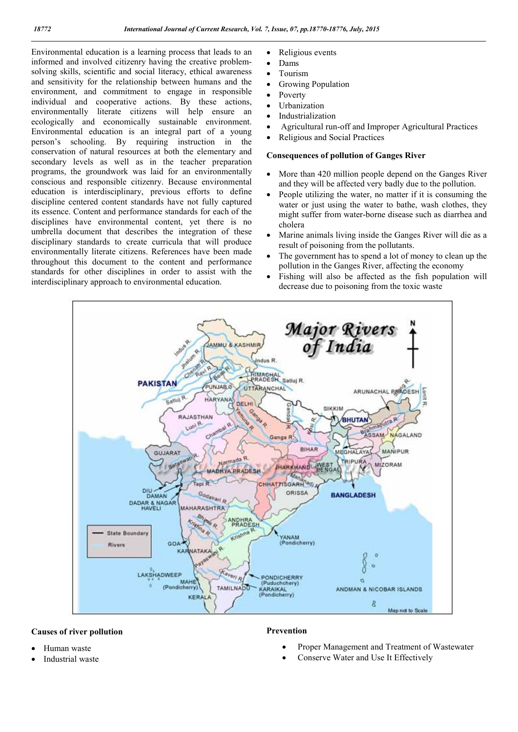Environmental education is a learning process that leads to an informed and involved citizenry having the creative problemsolving skills, scientific and social literacy, ethical awareness and sensitivity for the relationship between humans and the environment, and commitment to engage in responsible individual and cooperative actions. By these actions, environmentally literate citizens will help ensure an ecologically and economically sustainable environment. Environmental education is an integral part of a young person's schooling. By requiring instruction in the conservation of natural resources at both the elementary and secondary levels as well as in the teacher preparation programs, the groundwork was laid for an environmentally conscious and responsible citizenry. Because environmental education is interdisciplinary, previous efforts to define discipline centered content standards have not fully captured its essence. Content and performance standards for each of the disciplines have environmental content, yet there is no umbrella document that describes the integration of these disciplinary standards to create curricula that will produce environmentally literate citizens. References have been made throughout this document to the content and performance standards for other disciplines in order to assist with the interdisciplinary approach to environmental education.

- Religious events
- Dams
- Tourism
- Growing Population
- Poverty
- Urbanization
	- Industrialization
	- Agricultural run-off and Improper Agricultural Practices
	- Religious and Social Practices

# Consequences of pollution of Ganges River

- More than 420 million people depend on the Ganges River and they will be affected very badly due to the pollution.
- People utilizing the water, no matter if it is consuming the water or just using the water to bathe, wash clothes, they might suffer from water-borne disease such as diarrhea and cholera
- Marine animals living inside the Ganges River will die as a result of poisoning from the pollutants.
- The government has to spend a lot of money to clean up the pollution in the Ganges River, affecting the economy
- Fishing will also be affected as the fish population will decrease due to poisoning from the toxic waste



# Causes of river pollution

Prevention

- Human waste
- Industrial waste
- Proper Management and Treatment of Wastewater
- Conserve Water and Use It Effectively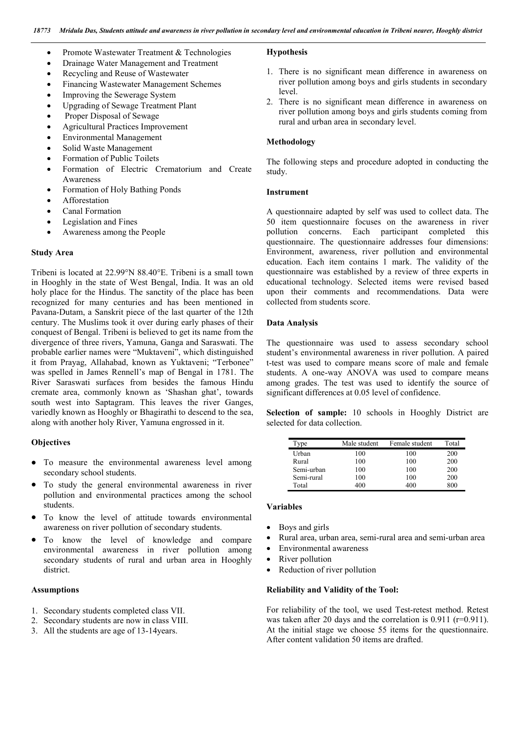- Promote Wastewater Treatment & Technologies
- Drainage Water Management and Treatment
- Recycling and Reuse of Wastewater
- Financing Wastewater Management Schemes
- Improving the Sewerage System
- Upgrading of Sewage Treatment Plant
- Proper Disposal of Sewage
- Agricultural Practices Improvement
- Environmental Management
- Solid Waste Management
- Formation of Public Toilets
- Formation of Electric Crematorium and Create Awareness
- Formation of Holy Bathing Ponds
- Afforestation
- Canal Formation
- Legislation and Fines
- Awareness among the People

#### Study Area

Tribeni is located at 22.99°N 88.40°E. Tribeni is a small town in Hooghly in the state of West Bengal, India. It was an old holy place for the Hindus. The sanctity of the place has been recognized for many centuries and has been mentioned in Pavana-Dutam, a Sanskrit piece of the last quarter of the 12th century. The Muslims took it over during early phases of their conquest of Bengal. Tribeni is believed to get its name from the divergence of three rivers, Yamuna, Ganga and Saraswati. The probable earlier names were "Muktaveni", which distinguished it from Prayag, Allahabad, known as Yuktaveni; "Terbonee" was spelled in James Rennell's map of Bengal in 1781. The River Saraswati surfaces from besides the famous Hindu cremate area, commonly known as 'Shashan ghat', towards south west into Saptagram. This leaves the river Ganges, variedly known as Hooghly or Bhagirathi to descend to the sea, along with another holy River, Yamuna engrossed in it.

# **Objectives**

- To measure the environmental awareness level among secondary school students.
- To study the general environmental awareness in river pollution and environmental practices among the school students.
- To know the level of attitude towards environmental awareness on river pollution of secondary students.
- To know the level of knowledge and compare environmental awareness in river pollution among secondary students of rural and urban area in Hooghly district.

## Assumptions

- 1. Secondary students completed class VII.
- 2. Secondary students are now in class VIII.
- 3. All the students are age of 13-14years.

#### Hypothesis

- 1. There is no significant mean difference in awareness on river pollution among boys and girls students in secondary level.
- 2. There is no significant mean difference in awareness on river pollution among boys and girls students coming from rural and urban area in secondary level.

# Methodology

The following steps and procedure adopted in conducting the study.

#### Instrument

A questionnaire adapted by self was used to collect data. The 50 item questionnaire focuses on the awareness in river pollution concerns. Each participant completed this questionnaire. The questionnaire addresses four dimensions: Environment, awareness, river pollution and environmental education. Each item contains 1 mark. The validity of the questionnaire was established by a review of three experts in educational technology. Selected items were revised based upon their comments and recommendations. Data were collected from students score.

#### Data Analysis

The questionnaire was used to assess secondary school student's environmental awareness in river pollution. A paired t-test was used to compare means score of male and female students. A one-way ANOVA was used to compare means among grades. The test was used to identify the source of significant differences at 0.05 level of confidence.

Selection of sample: 10 schools in Hooghly District are selected for data collection.

| Type       | Male student | Female student | Total |
|------------|--------------|----------------|-------|
| Urban      | 100          | 100            | 200   |
| Rural      | 100          | 100            | 200   |
| Semi-urban | 100          | 100            | 200   |
| Semi-rural | 100          | 100            | 200   |
| Total      | 400          | 400            | 800   |

#### Variables

- Boys and girls
- Rural area, urban area, semi-rural area and semi-urban area
- Environmental awareness
- River pollution
- Reduction of river pollution

## Reliability and Validity of the Tool:

For reliability of the tool, we used Test-retest method. Retest was taken after 20 days and the correlation is 0.911 (r=0.911). At the initial stage we choose 55 items for the questionnaire. After content validation 50 items are drafted.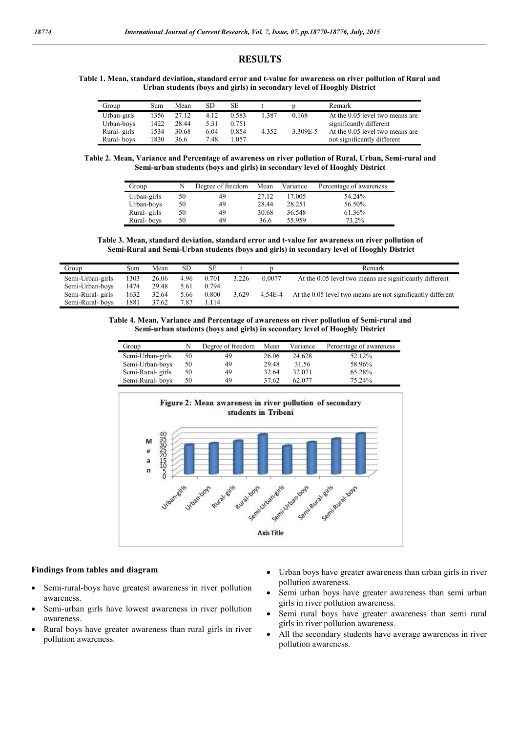# RESULTS

#### Table 1. Mean, standard deviation, standard error and t-value for awareness on river pollution of Rural and Urban students (boys and girls) in secondary level of Hooghly District

| Group       | Sum  | Mean  | SD   | SE    |       |          | Remark                          |
|-------------|------|-------|------|-------|-------|----------|---------------------------------|
| Urban-girls | 1356 | 27.12 | 4.12 | 0.583 | 1.387 | 0.168    | At the 0.05 level two means are |
| Urban-boys  | 1422 | 28.44 | 5.31 | 0.751 |       |          | significantly different         |
| Rural-girls | 1534 | 30.68 | 6.04 | 0.854 | 4.352 | 3.309E-5 | At the 0.05 level two means are |
| Rural-boys  | 1830 | 36.6  | 7.48 | 1.057 |       |          | not significantly different     |

Table 2. Mean, Variance and Percentage of awareness on river pollution of Rural, Urban, Semi-rural and Semi-urban students (boys and girls) in secondary level of Hooghly District

| Group       |    | Degree of freedom | Mean  | Variance | Percentage of awareness |
|-------------|----|-------------------|-------|----------|-------------------------|
| Urban-girls | 50 | 49                | 27.12 | 17.005   | 54.24%                  |
| Urban-boys  | 50 | 49                | 28.44 | 28.251   | 56.50%                  |
| Rural-girls | 50 | 49                | 30.68 | 36.548   | 61.36%                  |
| Rural-boys  | 50 | 49                | 36.6  | 55.959   | 73.2%                   |

Table 3. Mean, standard deviation, standard error and t-value for awareness on river pollution of Semi-Rural and Semi-Urban students (boys and girls) in secondary level of Hooghly District

| Group             | Sum  | Mean  | SD   | <b>SE</b> |       |         | Remark                                                      |
|-------------------|------|-------|------|-----------|-------|---------|-------------------------------------------------------------|
| Semi-Urban-girls  | 1303 | 26.06 | 4.96 | 0.701     | 3.226 | 0.0077  | At the 0.05 level two means are significantly different     |
| Semi-Urban-boys   | 1474 | 29.48 | 5.61 | 0.794     |       |         |                                                             |
| Semi-Rural- girls | 1632 | 32.64 | 5.66 | 0.800     | 3.629 | 4.54E-4 | At the 0.05 level two means are not significantly different |
| Semi-Rural-boys   | 1881 | 37.62 | 7.87 | -114      |       |         |                                                             |

Table 4. Mean, Variance and Percentage of awareness on river pollution of Semi-rural and Semi-urban students (boys and girls) in secondary level of Hooghly District

| Group             | N  | Degree of freedom | Mean  | Variance | Percentage of awareness |
|-------------------|----|-------------------|-------|----------|-------------------------|
| Semi-Urban-girls  | 50 | 49                | 26.06 | 24.628   | 52.12%                  |
| Semi-Urban-boys   | 50 | 49                | 29.48 | 31.56    | 58.96%                  |
| Semi-Rural- girls | 50 | 49                | 32.64 | 32.071   | 65.28%                  |
| Semi-Rural-boys   | 50 | 49                | 37.62 | 62.077   | 75.24%                  |



#### Findings from tables and diagram

- Semi-rural-boys have greatest awareness in river pollution awareness.
- Semi-urban girls have lowest awareness in river pollution awareness.
- Rural boys have greater awareness than rural girls in river pollution awareness.
- Urban boys have greater awareness than urban girls in river pollution awareness.
- Semi urban boys have greater awareness than semi urban girls in river pollution awareness.
- Semi rural boys have greater awareness than semi rural girls in river pollution awareness.
- All the secondary students have average awareness in river pollution awareness.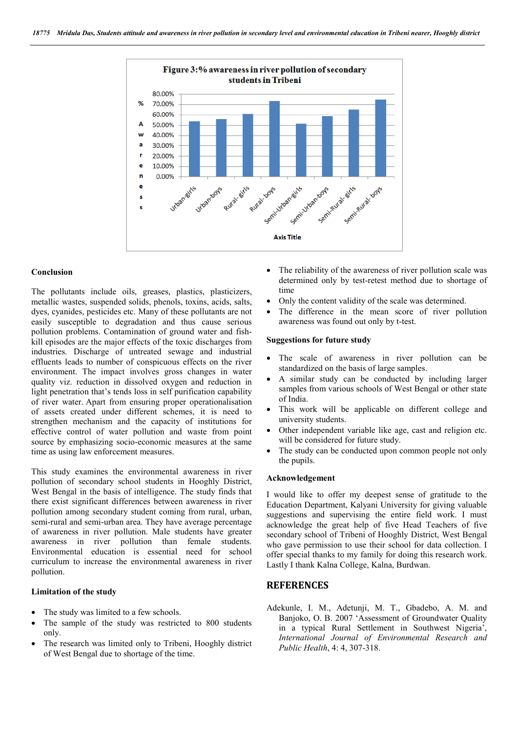

#### Conclusion

The pollutants include oils, greases, plastics, plasticizers, metallic wastes, suspended solids, phenols, toxins, acids, salts, dyes, cyanides, pesticides etc. Many of these pollutants are not easily susceptible to degradation and thus cause serious pollution problems. Contamination of ground water and fishkill episodes are the major effects of the toxic discharges from industries. Discharge of untreated sewage and industrial effluents leads to number of conspicuous effects on the river environment. The impact involves gross changes in water quality viz. reduction in dissolved oxygen and reduction in light penetration that's tends loss in self purification capability of river water. Apart from ensuring proper operationalisation of assets created under different schemes, it is need to strengthen mechanism and the capacity of institutions for effective control of water pollution and waste from point source by emphasizing socio-economic measures at the same time as using law enforcement measures.

This study examines the environmental awareness in river pollution of secondary school students in Hooghly District, West Bengal in the basis of intelligence. The study finds that there exist significant differences between awareness in river pollution among secondary student coming from rural, urban, semi-rural and semi-urban area. They have average percentage of awareness in river pollution. Male students have greater awareness in river pollution than female students. Environmental education is essential need for school curriculum to increase the environmental awareness in river pollution.

# Limitation of the study

- The study was limited to a few schools.
- The sample of the study was restricted to 800 students only.
- The research was limited only to Tribeni, Hooghly district of West Bengal due to shortage of the time.
- The reliability of the awareness of river pollution scale was determined only by test-retest method due to shortage of time
- Only the content validity of the scale was determined.
- The difference in the mean score of river pollution awareness was found out only by t-test.

## Suggestions for future study

- The scale of awareness in river pollution can be standardized on the basis of large samples.
- A similar study can be conducted by including larger samples from various schools of West Bengal or other state of India.
- This work will be applicable on different college and university students.
- Other independent variable like age, cast and religion etc. will be considered for future study.
- The study can be conducted upon common people not only the pupils.

## Acknowledgement

I would like to offer my deepest sense of gratitude to the Education Department, Kalyani University for giving valuable suggestions and supervising the entire field work. I must acknowledge the great help of five Head Teachers of five secondary school of Tribeni of Hooghly District, West Bengal who gave permission to use their school for data collection. I offer special thanks to my family for doing this research work. Lastly I thank Kalna College, Kalna, Burdwan.

# **REFERENCES**

Adekunle, I. M., Adetunji, M. T., Gbadebo, A. M. and Banjoko, O. B. 2007 'Assessment of Groundwater Quality in a typical Rural Settlement in Southwest Nigeria', *International Journal of Environmental Research and Public Health*, 4: 4, 307-318.